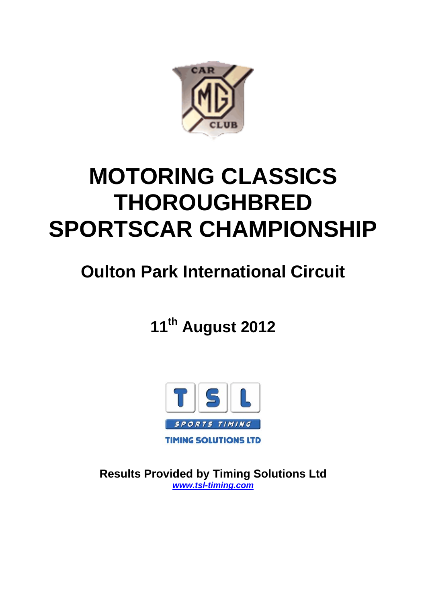

# **MOTORING CLASSICS THOROUGHBRED SPORTSCAR CHAMPIONSHIP**

# **Oulton Park International Circuit**

**11th August 2012**



**Results Provided by Timing Solutions Ltd**  *www.tsl-timing.com*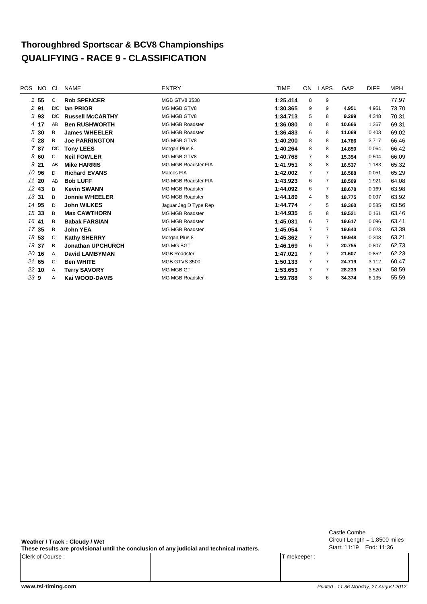# **Thoroughbred Sportscar & BCV8 Championships QUALIFYING - RACE 9 - CLASSIFICATION**

| <b>POS</b><br>NO | CL. | <b>NAME</b>              | <b>ENTRY</b>           | <b>TIME</b> | ON             | <b>LAPS</b>    | GAP    | <b>DIFF</b> | <b>MPH</b> |
|------------------|-----|--------------------------|------------------------|-------------|----------------|----------------|--------|-------------|------------|
| $1\,55$          | C   | <b>Rob SPENCER</b>       | <b>MGB GTV8 3538</b>   | 1:25.414    | 8              | 9              |        |             | 77.97      |
| 291              | D/C | lan PRIOR                | MG MGB GTV8            | 1:30.365    | 9              | 9              | 4.951  | 4.951       | 73.70      |
| 393              | D/C | <b>Russell McCARTHY</b>  | MG MGB GTV8            | 1:34.713    | 5              | 8              | 9.299  | 4.348       | 70.31      |
| 4 17             | AB  | <b>Ben RUSHWORTH</b>     | <b>MG MGB Roadster</b> | 1:36.080    | 8              | 8              | 10.666 | 1.367       | 69.31      |
| 530              | B   | <b>James WHEELER</b>     | <b>MG MGB Roadster</b> | 1:36.483    | 6              | 8              | 11.069 | 0.403       | 69.02      |
| 6 28             | B   | <b>Joe PARRINGTON</b>    | MG MGB GTV8            | 1:40.200    | 8              | 8              | 14.786 | 3.717       | 66.46      |
| 787              | D/C | <b>Tony LEES</b>         | Morgan Plus 8          | 1:40.264    | 8              | 8              | 14.850 | 0.064       | 66.42      |
| 860              | C   | <b>Neil FOWLER</b>       | MG MGB GTV8            | 1:40.768    | $\overline{7}$ | 8              | 15.354 | 0.504       | 66.09      |
| 9 21             | AB  | <b>Mike HARRIS</b>       | MG MGB Roadster FIA    | 1:41.951    | 8              | 8              | 16.537 | 1.183       | 65.32      |
| 10 96            | D   | <b>Richard EVANS</b>     | Marcos FIA             | 1:42.002    | 7              | 7              | 16.588 | 0.051       | 65.29      |
| 11 20            | AB  | <b>Bob LUFF</b>          | MG MGB Roadster FIA    | 1:43.923    | 6              | 7              | 18.509 | 1.921       | 64.08      |
| 12 43            | B   | <b>Kevin SWANN</b>       | <b>MG MGB Roadster</b> | 1:44.092    | 6              | 7              | 18.678 | 0.169       | 63.98      |
| 13 31            | B   | <b>Jonnie WHEELER</b>    | MG MGB Roadster        | 1:44.189    | 4              | 8              | 18.775 | 0.097       | 63.92      |
| 14 95            | D   | <b>John WILKES</b>       | Jaquar Jaq D Type Rep  | 1:44.774    | 4              | 5              | 19.360 | 0.585       | 63.56      |
| 15 33            | B   | <b>Max CAWTHORN</b>      | <b>MG MGB Roadster</b> | 1:44.935    | 5              | 8              | 19.521 | 0.161       | 63.46      |
| 16 41            | B   | <b>Babak FARSIAN</b>     | MG MGB Roadster        | 1:45.031    | 6              | $\overline{7}$ | 19.617 | 0.096       | 63.41      |
| 17 35            | B   | <b>John YEA</b>          | <b>MG MGB Roadster</b> | 1:45.054    | $\overline{7}$ | 7              | 19.640 | 0.023       | 63.39      |
| 18 53            | C   | <b>Kathy SHERRY</b>      | Morgan Plus 8          | 1:45.362    | $\overline{7}$ | 7              | 19.948 | 0.308       | 63.21      |
| 19 37            | B   | <b>Jonathan UPCHURCH</b> | MG MG BGT              | 1:46.169    | 6              | 7              | 20.755 | 0.807       | 62.73      |
| 20 16            | A   | <b>David LAMBYMAN</b>    | <b>MGB Roadster</b>    | 1:47.021    | $\overline{7}$ | 7              | 21.607 | 0.852       | 62.23      |
| 21 65            | C   | <b>Ben WHITE</b>         | <b>MGB GTVS 3500</b>   | 1:50.133    | 7              | 7              | 24.719 | 3.112       | 60.47      |
| 22 10            | Α   | <b>Terry SAVORY</b>      | MG MGB GT              | 1:53.653    | 7              | 7              | 28.239 | 3.520       | 58.59      |
| 23 9             | Α   | Kai WOOD-DAVIS           | <b>MG MGB Roadster</b> | 1:59.788    | 3              | 6              | 34.374 | 6.135       | 55.59      |
|                  |     |                          |                        |             |                |                |        |             |            |

**Weather / Track : Cloudy / Wet**

**These results are provisional until the conclusion of any judicial and technical matters.**

Clerk of Course : Timekeeper : Timekeeper : Timekeeper : Timekeeper : Timekeeper : Timekeeper : Timekeeper : Timekeeper : Timekeeper : Timekeeper : Timekeeper : Timekeeper : Timekeeper : Timekeeper : Timekeeper : Timekeepe

Circuit Length = 1.8500 miles Start: 11:19 End: 11:36 Castle Combe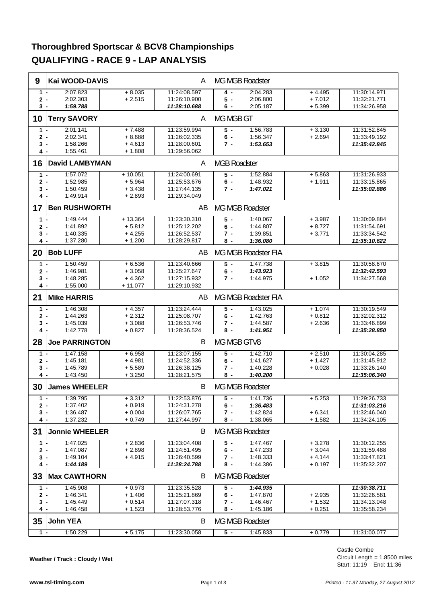#### **Thoroughbred Sportscar & BCV8 Championships QUALIFYING - RACE 9 - LAP ANALYSIS**

| 9     | Kai WOOD-DAVIS        |           | A            | MG MGB Roadster     |                     |          |              |  |  |
|-------|-----------------------|-----------|--------------|---------------------|---------------------|----------|--------------|--|--|
| $1 -$ | 2:07.823              | $+8.035$  | 11:24:08.597 | 4 -                 | 2:04.283            | $+4.495$ | 11:30:14.971 |  |  |
| $2 -$ | 2:02.303              | $+2.515$  | 11:26:10.900 | $5 -$               | 2:06.800            | $+7.012$ | 11:32:21.771 |  |  |
| $3 -$ | 1:59.788              |           | 11:28:10.688 | 6 -                 | 2:05.187            | $+5.399$ | 11:34:26.958 |  |  |
| 10    | <b>Terry SAVORY</b>   |           | A            | MG MGB GT           |                     |          |              |  |  |
| $1 -$ | 2:01.141              | $+7.488$  | 11:23:59.994 | $5 -$               | 1:56.783            | $+3.130$ | 11:31:52.845 |  |  |
| $2 -$ | 2:02.341              | $+8.688$  | 11:26:02.335 | 6 -                 | 1:56.347            | $+2.694$ | 11:33:49.192 |  |  |
| 3 -   | 1:58.266              | $+4.613$  | 11:28:00.601 | 7 -                 | 1:53.653            |          | 11:35:42.845 |  |  |
| 4 -   | 1:55.461              | $+1.808$  | 11:29:56.062 |                     |                     |          |              |  |  |
| 16    | <b>David LAMBYMAN</b> |           | A            | <b>MGB Roadster</b> |                     |          |              |  |  |
|       |                       |           |              |                     |                     |          |              |  |  |
| $1 -$ | 1:57.072              | $+10.051$ | 11:24:00.691 | $5 -$               | 1:52.884            | $+5.863$ | 11:31:26.933 |  |  |
| 2 -   | 1:52.985              | $+5.964$  | 11:25:53.676 | $6 -$               | 1:48.932            | $+1.911$ | 11:33:15.865 |  |  |
| $3 -$ | 1:50.459              | $+3.438$  | 11:27:44.135 | $7 -$               | 1:47.021            |          | 11:35:02.886 |  |  |
| 4 -   | 1:49.914              | $+2.893$  | 11:29:34.049 |                     |                     |          |              |  |  |
| 17    | <b>Ben RUSHWORTH</b>  |           | AB           |                     | MG MGB Roadster     |          |              |  |  |
| $1 -$ | 1:49.444              | $+13.364$ | 11:23:30.310 | $5 -$               | 1:40.067            | $+3.987$ | 11:30:09.884 |  |  |
| $2 -$ | 1:41.892              | $+5.812$  | 11:25:12.202 | $6 -$               | 1:44.807            | $+8.727$ | 11:31:54.691 |  |  |
| 3 -   | 1:40.335              | $+4.255$  | 11:26:52.537 | 7 -                 | 1:39.851            | $+3.771$ | 11:33:34.542 |  |  |
| 4 -   | 1:37.280              | + 1.200   | 11:28:29.817 | 8 -                 | 1:36.080            |          | 11:35:10.622 |  |  |
| 20    | <b>Bob LUFF</b>       |           | AB.          |                     | MG MGB Roadster FIA |          |              |  |  |
| $1 -$ | 1:50.459              | $+6.536$  | 11:23:40.666 | $5 -$               | 1:47.738            | $+3.815$ | 11:30:58.670 |  |  |
| $2 -$ | 1:46.981              | $+3.058$  | 11:25:27.647 | $6 -$               | 1:43.923            |          | 11:32:42.593 |  |  |
| 3 -   | 1:48.285              | $+4.362$  | 11:27:15.932 | $7 -$               | 1:44.975            | $+1.052$ | 11:34:27.568 |  |  |
| 4 -   | 1:55.000              | $+11.077$ | 11:29:10.932 |                     |                     |          |              |  |  |
| 21    | <b>Mike HARRIS</b>    |           | AB.          |                     | MG MGB Roadster FIA |          |              |  |  |
| $1 -$ | 1:46.308              | $+4.357$  | 11:23:24.444 | $5 -$               | 1:43.025            | $+1.074$ | 11:30:19.549 |  |  |
| $2 -$ | 1:44.263              | $+2.312$  | 11:25:08.707 | $6 -$               | 1:42.763            | $+0.812$ | 11:32:02.312 |  |  |
| 3 -   | 1:45.039              | $+3.088$  | 11:26:53.746 | 7 -                 | 1:44.587            | $+2.636$ | 11:33:46.899 |  |  |
| 4 -   | 1:42.778              | $+0.827$  | 11:28:36.524 | 8 -                 | 1:41.951            |          | 11:35:28.850 |  |  |
| 28    | <b>Joe PARRINGTON</b> |           | B            | MG MGB GTV8         |                     |          |              |  |  |
| $1 -$ | 1:47.158              | $+6.958$  | 11:23:07.155 | $5 -$               | 1:42.710            | $+2.510$ | 11:30:04.285 |  |  |
| $2 -$ | 1:45.181              | $+4.981$  | 11:24:52.336 | 6 -                 | 1:41.627            | $+1.427$ | 11:31:45.912 |  |  |
| 3 -   | 1:45.789              | $+5.589$  | 11:26:38.125 | 7 -                 | 1:40.228            | $+0.028$ | 11:33:26.140 |  |  |
| 4 -   | 1:43.450              | $+3.250$  | 11:28:21.575 | 8 -                 | 1:40.200            |          | 11:35:06.340 |  |  |
| 30    | <b>James WHEELER</b>  |           | В            |                     | MG MGB Roadster     |          |              |  |  |
| $1 -$ | 1:39.795              | $+3.312$  | 11:22:53.876 | $5 -$               | 1:41.736            | $+5.253$ | 11:29:26.733 |  |  |
| $2 -$ | 1:37.402              | $+0.919$  | 11:24:31.278 | $6 -$               | 1:36.483            |          | 11:31:03.216 |  |  |
| 3 -   | 1:36.487              | $+0.004$  | 11:26:07.765 | 7 -                 | 1:42.824            | $+6.341$ | 11:32:46.040 |  |  |
| 4 -   | 1:37.232              | + 0.749   | 11:27:44.997 | 8 -                 | 1:38.065            | $+1.582$ | 11:34:24.105 |  |  |
| 31    | <b>Jonnie WHEELER</b> |           | B            |                     | MG MGB Roadster     |          |              |  |  |
| $1 -$ | 1:47.025              | $+2.836$  | 11:23:04.408 | $5 -$               | 1:47.467            | $+3.278$ | 11:30:12.255 |  |  |
| $2 -$ | 1:47.087              | $+2.898$  | 11:24:51.495 | $6 -$               | 1:47.233            | $+3.044$ | 11:31:59.488 |  |  |
| 3 -   | 1:49.104              | $+4.915$  | 11:26:40.599 | 7 -                 | 1:48.333            | $+4.144$ | 11:33:47.821 |  |  |
| 4 -   | 1:44.189              |           | 11:28:24.788 | 8 -                 | 1:44.386            | $+0.197$ | 11:35:32.207 |  |  |
| 33    | <b>Max CAWTHORN</b>   |           | B            |                     | MG MGB Roadster     |          |              |  |  |
| $1 -$ | 1:45.908              | $+0.973$  | 11:23:35.528 | $5 -$               | 1:44.935            |          | 11:30:38.711 |  |  |
| $2 -$ | 1:46.341              | $+1.406$  | 11:25:21.869 | $6 -$               | 1:47.870            | $+2.935$ | 11:32:26.581 |  |  |
| 3 -   | 1:45.449              | $+0.514$  | 11:27:07.318 | 7 -                 | 1:46.467            | $+1.532$ | 11:34:13.048 |  |  |
| 4 -   | 1:46.458              | $+1.523$  | 11:28:53.776 | 8 -                 | 1:45.186            | $+0.251$ | 11:35:58.234 |  |  |
|       |                       |           |              |                     |                     |          |              |  |  |
| 35    | <b>John YEA</b>       |           | B            |                     | MG MGB Roadster     |          |              |  |  |
| $1 -$ | 1:50.229              | $+ 5.175$ | 11:23:30.058 | $5 -$               | 1:45.833            | $+0.779$ | 11:31:00.077 |  |  |

**Weather / Track : Cloudy / Wet**

Circuit Length = 1.8500 miles Start: 11:19 End: 11:36 Castle Combe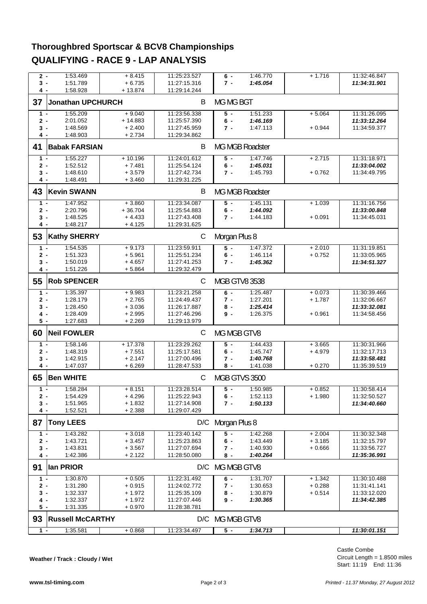#### **Thoroughbred Sportscar & BCV8 Championships QUALIFYING - RACE 9 - LAP ANALYSIS**

| $2 -$ | 1:53.469                | $+8.415$  | 11:25:23.527 | $6 -$                | 1:46.770        | $+1.716$ | 11:32:46.847 |
|-------|-------------------------|-----------|--------------|----------------------|-----------------|----------|--------------|
| 3 -   | 1:51.789                | $+6.735$  | 11:27:15.316 | $7 -$                | 1:45.054        |          | 11:34:31.901 |
| 4 -   | 1:58.928                | $+13.874$ | 11:29:14.244 |                      |                 |          |              |
|       | Jonathan UPCHURCH       |           | B            |                      |                 |          |              |
| 37    |                         |           |              | MG MG BGT            |                 |          |              |
| $1 -$ | 1:55.209                | $+9.040$  | 11:23:56.338 | $5 -$                | 1:51.233        | $+5.064$ | 11:31:26.095 |
| $2 -$ | 2:01.052                | $+14.883$ | 11:25:57.390 | $6 -$                | 1:46.169        |          | 11:33:12.264 |
| 3 -   | 1:48.569                | $+2.400$  | 11:27:45.959 | 7 -                  | 1:47.113        | $+0.944$ | 11:34:59.377 |
| 4 -   | 1:48.903                | $+2.734$  | 11:29:34.862 |                      |                 |          |              |
|       |                         |           |              |                      |                 |          |              |
| 41    | <b>Babak FARSIAN</b>    |           | B            |                      | MG MGB Roadster |          |              |
| $1 -$ | 1:55.227                | $+10.196$ | 11:24:01.612 | $\overline{5}$ -     | 1:47.746        | $+2.715$ | 11:31:18.971 |
| $2 -$ | 1:52.512                | $+7.481$  | 11:25:54.124 | $6 -$                | 1:45.031        |          | 11:33:04.002 |
| 3 -   | 1:48.610                | $+3.579$  | 11:27:42.734 | $7 -$                | 1:45.793        | $+0.762$ | 11:34:49.795 |
| 4 -   | 1:48.491                | $+3.460$  | 11:29:31.225 |                      |                 |          |              |
|       |                         |           |              |                      |                 |          |              |
| 43    | <b>Kevin SWANN</b>      |           | B            |                      | MG MGB Roadster |          |              |
| 1 -   | 1:47.952                | $+3.860$  | 11:23:34.087 | $5 -$                | 1:45.131        | $+1.039$ | 11:31:16.756 |
| 2 -   | 2:20.796                | $+36.704$ | 11:25:54.883 | 6 -                  | 1:44.092        |          | 11:33:00.848 |
| 3 -   | 1:48.525                | $+4.433$  | 11:27:43.408 | $7 -$                | 1:44.183        | $+0.091$ | 11:34:45.031 |
| 4 -   | 1:48.217                | $+4.125$  | 11:29:31.625 |                      |                 |          |              |
|       |                         |           |              |                      |                 |          |              |
| 53    | <b>Kathy SHERRY</b>     |           | C            | Morgan Plus 8        |                 |          |              |
| $1 -$ | 1:54.535                | $+9.173$  | 11:23:59.911 | 5 -                  | 1:47.372        | $+2.010$ | 11:31:19.851 |
| $2 -$ | 1:51.323                | $+5.961$  | 11:25:51.234 | 6 -                  | 1:46.114        | $+0.752$ | 11:33:05.965 |
| 3 -   | 1:50.019                | $+4.657$  | 11:27:41.253 | 7 -                  | 1:45.362        |          | 11:34:51.327 |
| 4 -   | 1:51.226                | $+5.864$  | 11:29:32.479 |                      |                 |          |              |
|       |                         |           |              |                      |                 |          |              |
| 55    | <b>Rob SPENCER</b>      |           | C            | <b>MGB GTV8 3538</b> |                 |          |              |
| $1 -$ | 1:35.397                | $+9.983$  | 11:23:21.258 | $6 -$                | 1:25.487        | $+0.073$ | 11:30:39.466 |
| $2 -$ | 1:28.179                | $+2.765$  | 11:24:49.437 | 7 -                  | 1:27.201        | $+1.787$ | 11:32:06.667 |
| 3 -   | 1:28.450                | $+3.036$  | 11:26:17.887 | 8 -                  | 1:25.414        |          | 11:33:32.081 |
| 4 -   | 1:28.409                | $+2.995$  | 11:27:46.296 | 9-                   | 1:26.375        | $+0.961$ | 11:34:58.456 |
| $5 -$ | 1:27.683                | $+2.269$  | 11:29:13.979 |                      |                 |          |              |
|       |                         |           |              |                      |                 |          |              |
| 60    | <b>Neil FOWLER</b>      |           | C            | MG MGB GTV8          |                 |          |              |
| $1 -$ | 1:58.146                | $+17.378$ | 11:23:29.262 | $5 -$                | 1:44.433        | $+3.665$ | 11:30:31.966 |
| 2 -   | 1:48.319                | $+7.551$  | 11:25:17.581 | 6 -                  | 1:45.747        | $+4.979$ | 11:32:17.713 |
| 3 -   | 1:42.915                | $+2.147$  | 11:27:00.496 | 7 -                  | 1:40.768        |          | 11:33:58.481 |
| 4 -   | 1:47.037                | $+6.269$  | 11:28:47.533 | 8 -                  | 1:41.038        | $+0.270$ | 11:35:39.519 |
|       |                         |           |              |                      |                 |          |              |
| 65    | <b>Ben WHITE</b>        |           | С            | MGB GTVS 3500        |                 |          |              |
| $1 -$ | 1:58.284                | $+8.151$  | 11:23:28.514 | $5 -$                | 1:50.985        | $+0.852$ | 11:30:58.414 |
| $2 -$ | 1:54.429                | $+4.296$  | 11:25:22.943 | $6 -$                | 1:52.113        | $+1.980$ | 11:32:50.527 |
| $3 -$ | 1:51.965                | $+1.832$  | 11:27:14.908 | $7 -$                | 1:50.133        |          | 11:34:40.660 |
| 4 -   | 1:52.521                | $+2.388$  | 11:29:07.429 |                      |                 |          |              |
|       |                         |           |              |                      |                 |          |              |
| 87    | <b>Tony LEES</b>        |           |              | D/C Morgan Plus 8    |                 |          |              |
| $1 -$ | 1:43.282                | $+3.018$  | 11:23:40.142 | 5 -                  | 1.42.268        | $+2.004$ | 11:30:32.348 |
| $2 -$ | 1:43.721                | $+3.457$  | 11:25:23.863 | $6 -$                | 1:43.449        | $+3.185$ | 11:32:15.797 |
| $3 -$ | 1:43.831                | $+3.567$  | 11:27:07.694 | 7 -                  | 1:40.930        | $+0.666$ | 11:33:56.727 |
| 4 -   | 1:42.386                | $+2.122$  | 11:28:50.080 | 8 -                  | 1:40.264        |          | 11:35:36.991 |
|       |                         |           |              |                      |                 |          |              |
| 91    | lan PRIOR               |           |              | D/C MG MGB GTV8      |                 |          |              |
| 1 -   | 1:30.870                | $+0.505$  | 11:22:31.492 | $6 -$                | 1:31.707        | $+1.342$ | 11:30:10.488 |
| 2 -   | 1:31.280                | $+0.915$  | 11:24:02.772 | 7 -                  | 1:30.653        | $+0.288$ | 11:31:41.141 |
| $3 -$ | 1:32.337                | $+1.972$  | 11:25:35.109 | 8 -                  | 1:30.879        | $+0.514$ | 11:33:12.020 |
| 4 -   | 1:32.337                | $+1.972$  | 11:27:07.446 | 9-                   | 1:30.365        |          | 11:34:42.385 |
| $5 -$ | 1:31.335                | $+0.970$  | 11:28:38.781 |                      |                 |          |              |
|       |                         |           |              |                      |                 |          |              |
|       |                         |           |              |                      |                 |          |              |
| 93    | <b>Russell McCARTHY</b> |           |              | D/C MG MGB GTV8      |                 |          |              |
| $1 -$ | 1:35.581                | $+0.868$  | 11:23:34.497 | $5 -$                | 1:34.713        |          | 11:30:01.151 |

Circuit Length = 1.8500 miles Start: 11:19 End: 11:36 Castle Combe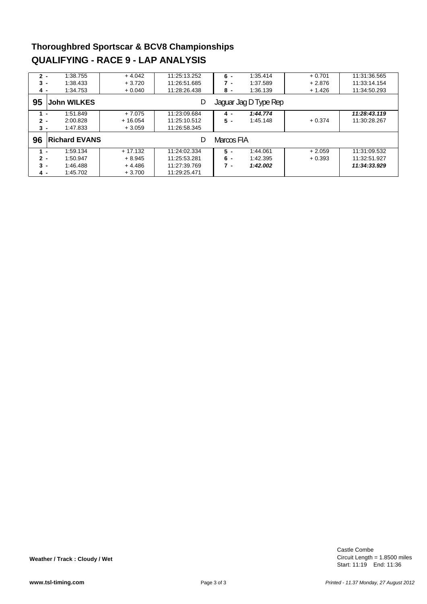#### **Thoroughbred Sportscar & BCV8 Championships QUALIFYING - RACE 9 - LAP ANALYSIS**

| $2 -$ | 1:38.755                   | $+4.042$  | 11:25:13.252 | $6 -$      | 1:35.414              | $+0.701$ | 11:31:36.565 |
|-------|----------------------------|-----------|--------------|------------|-----------------------|----------|--------------|
| $3 -$ | 1:38.433                   | $+3.720$  | 11:26:51.685 | 7 -        | 1:37.589              | $+2.876$ | 11:33:14.154 |
| 4 -   | 1:34.753                   | $+0.040$  | 11:28:26.438 | 8 -        | 1:36.139              | $+1.426$ | 11:34:50.293 |
| 95    | <b>John WILKES</b>         |           | D            |            | Jaguar Jag D Type Rep |          |              |
| $1 -$ | 1:51.849                   | $+7.075$  | 11:23:09.684 | 4 -        | 1:44.774              |          | 11:28:43.119 |
| $2 -$ | 2:00.828                   | $+16.054$ | 11:25:10.512 | $5 -$      | 1:45.148              | $+0.374$ | 11:30:28.267 |
| $3 -$ | 1:47.833                   | $+3.059$  | 11:26:58.345 |            |                       |          |              |
| 96    | <b>Richard EVANS</b>       |           | D            | Marcos FIA |                       |          |              |
| 1.    | 1:59.134<br>$\blacksquare$ | $+17.132$ | 11:24:02.334 | $5 -$      | 1:44.061              | $+2.059$ | 11:31:09.532 |
| $2 -$ | 1:50.947                   | $+8.945$  | 11:25:53.281 | 6 -        | 1:42.395              | $+0.393$ | 11:32:51.927 |
| $3 -$ | 1:46.488                   | $+4.486$  | 11:27:39.769 | $7 -$      | 1:42.002              |          | 11:34:33.929 |
| 4 -   | 1:45.702                   | $+3.700$  | 11:29:25.471 |            |                       |          |              |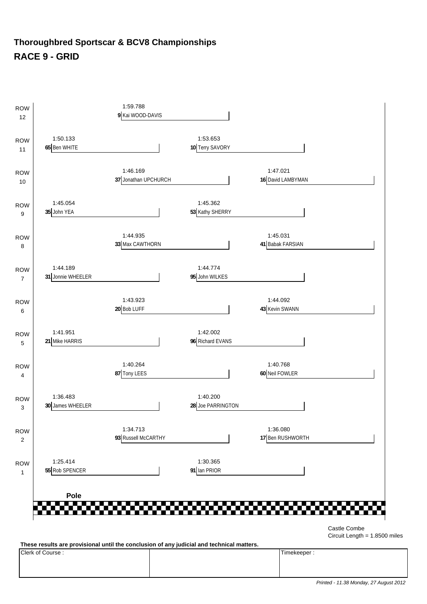#### **Thoroughbred Sportscar & BCV8 Championships RACE 9 - GRID**



Circuit Length = 1.8500 miles

**These results are provisional until the conclusion of any judicial and technical matters.**

Clerk of Course : Timekeeper :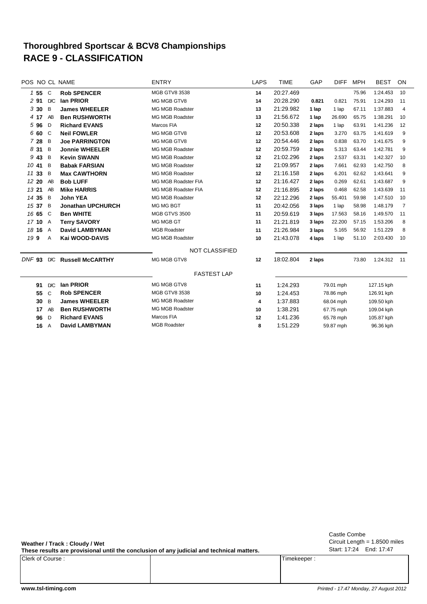#### **RACE 9 - CLASSIFICATION Thoroughbred Sportscar & BCV8 Championships**

| POS NO CL NAME    |                |                          | <b>ENTRY</b>           | LAPS    | TIME      | GAP    | <b>DIFF</b> | MPH   | <b>BEST</b> | ON             |
|-------------------|----------------|--------------------------|------------------------|---------|-----------|--------|-------------|-------|-------------|----------------|
| $1\,55$           | $\mathsf{C}$   | <b>Rob SPENCER</b>       | <b>MGB GTV8 3538</b>   | 14      | 20:27.469 |        |             | 75.96 | 1:24.453    | 10             |
| 291               | D/C            | lan PRIOR                | MG MGB GTV8            | 14      | 20:28.290 | 0.821  | 0.821       | 75.91 | 1:24.293    | 11             |
| 330               | B              | <b>James WHEELER</b>     | <b>MG MGB Roadster</b> | 13      | 21:29.982 | 1 lap  | 1 lap       | 67.11 | 1:37.883    | $\overline{4}$ |
| 4 17              | AB             | <b>Ben RUSHWORTH</b>     | <b>MG MGB Roadster</b> | 13      | 21:56.672 | 1 lap  | 26.690      | 65.75 | 1:38.291    | 10             |
| 596               | D              | <b>Richard EVANS</b>     | Marcos FIA             | 12      | 20:50.338 | 2 laps | 1 lap       | 63.91 | 1:41.236    | 12             |
| 6 60              | C              | <b>Neil FOWLER</b>       | MG MGB GTV8            | 12      | 20:53.608 | 2 laps | 3.270       | 63.75 | 1:41.619    | 9              |
| 7 28              | B              | <b>Joe PARRINGTON</b>    | MG MGB GTV8            | 12      | 20:54.446 | 2 laps | 0.838       | 63.70 | 1:41.675    | 9              |
| 8 3 1             | B              | <b>Jonnie WHEELER</b>    | <b>MG MGB Roadster</b> | 12      | 20:59.759 | 2 laps | 5.313       | 63.44 | 1:42.781    | 9              |
| 9 43              | B              | <b>Kevin SWANN</b>       | <b>MG MGB Roadster</b> | 12      | 21:02.296 | 2 laps | 2.537       | 63.31 | 1:42.327    | 10             |
| 10 41             | B              | <b>Babak FARSIAN</b>     | <b>MG MGB Roadster</b> | 12      | 21:09.957 | 2 laps | 7.661       | 62.93 | 1:42.750    | 8              |
| 11 33             | B              | <b>Max CAWTHORN</b>      | <b>MG MGB Roadster</b> | 12      | 21:16.158 | 2 laps | 6.201       | 62.62 | 1:43.641    | 9              |
| 12 20             | AB             | <b>Bob LUFF</b>          | MG MGB Roadster FIA    | 12      | 21:16.427 | 2 laps | 0.269       | 62.61 | 1:43.687    | 9              |
| 13 21             | AB             | <b>Mike HARRIS</b>       | MG MGB Roadster FIA    | 12      | 21:16.895 | 2 laps | 0.468       | 62.58 | 1:43.639    | 11             |
| 14 35             | B              | <b>John YEA</b>          | <b>MG MGB Roadster</b> | 12      | 22:12.296 | 2 laps | 55.401      | 59.98 | 1:47.510    | 10             |
| 15 37             | B              | <b>Jonathan UPCHURCH</b> | MG MG BGT              | 11      | 20:42.056 | 3 laps | 1 lap       | 58.98 | 1:48.179    | 7              |
| 16 65             | C              | <b>Ben WHITE</b>         | <b>MGB GTVS 3500</b>   | 11      | 20:59.619 | 3 laps | 17.563      | 58.16 | 1:49.570    | 11             |
| 1710              | $\mathsf{A}$   | <b>Terry SAVORY</b>      | MG MGB GT              | 11      | 21:21.819 | 3 laps | 22.200      | 57.15 | 1:53.206    | 8              |
| 18 16             | $\overline{A}$ | <b>David LAMBYMAN</b>    | <b>MGB Roadster</b>    | 11      | 21:26.984 | 3 laps | 5.165       | 56.92 | 1:51.229    | 8              |
| 199               | Α              | Kai WOOD-DAVIS           | <b>MG MGB Roadster</b> | 10      | 21:43.078 | 4 laps | 1 lap       | 51.10 | 2:03.430    | 10             |
|                   |                |                          | <b>NOT CLASSIFIED</b>  |         |           |        |             |       |             |                |
| DNF <sub>93</sub> | D/C            | <b>Russell McCARTHY</b>  | MG MGB GTV8            | 12      | 18:02.804 | 2 laps |             | 73.80 | 1:24.312    | 11             |
|                   |                |                          | <b>FASTEST LAP</b>     |         |           |        |             |       |             |                |
| 91                | D/C            | lan PRIOR                | MG MGB GTV8            | 11      | 1:24.293  |        | 79.01 mph   |       | 127.15 kph  |                |
| 55                | C              | <b>Rob SPENCER</b>       | <b>MGB GTV8 3538</b>   | 10      | 1:24.453  |        | 78.86 mph   |       | 126.91 kph  |                |
| 30                | B              | <b>James WHEELER</b>     | <b>MG MGB Roadster</b> | 4       | 1:37.883  |        | 68.04 mph   |       | 109.50 kph  |                |
| 17                | AB             | <b>Ben RUSHWORTH</b>     | <b>MG MGB Roadster</b> | 10      | 1:38.291  |        | 67.75 mph   |       | 109.04 kph  |                |
| 96                | D              | <b>Richard EVANS</b>     | Marcos FIA             | $12 \,$ | 1:41.236  |        | 65.78 mph   |       | 105.87 kph  |                |
| 16                | $\overline{A}$ | <b>David LAMBYMAN</b>    | <b>MGB Roadster</b>    | 8       | 1:51.229  |        | 59.87 mph   |       | 96.36 kph   |                |

**Weather / Track : Cloudy / Wet**

**These results are provisional until the conclusion of any judicial and technical matters.**

Clerk of Course : Timekeeper : Timekeeper :

Circuit Length = 1.8500 miles Start: 17:24 End: 17:47 Castle Combe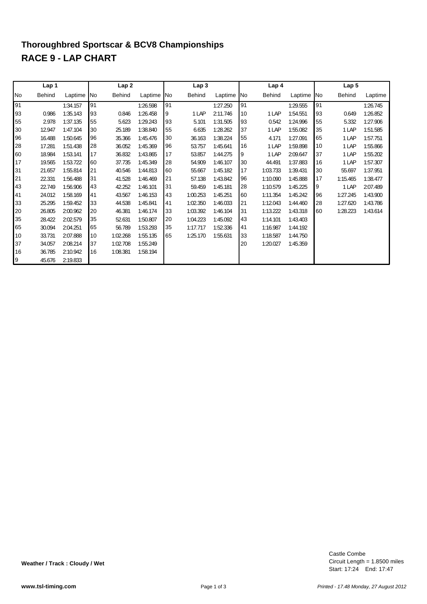# **RACE 9 - LAP CHART Thoroughbred Sportscar & BCV8 Championships**

|      | Lap 1         |          |            | Lap <sub>2</sub> |            |    | Lap <sub>3</sub> |          |           | Lap 4    |          |            | Lap 5         |          |
|------|---------------|----------|------------|------------------|------------|----|------------------|----------|-----------|----------|----------|------------|---------------|----------|
| lNo. | <b>Behind</b> | Laptime  | <b>INo</b> | <b>Behind</b>    | Laptime No |    | <b>Behind</b>    | Laptime  | <b>No</b> | Behind   | Laptime  | <b>INo</b> | <b>Behind</b> | Laptime  |
| 91   |               | 1:34.157 | 91         |                  | 1:26.598   | 91 |                  | 1:27.250 | 91        |          | 1:29.555 | 91         |               | 1:26.745 |
| 93   | 0.986         | 1:35.143 | 93         | 0.846            | 1:26.458   | Ι9 | 1 LAP            | 2:11.746 | 10        | 1 LAP    | 1:54.551 | 93         | 0.649         | 1:26.852 |
| 55   | 2.978         | 1:37.135 | 55         | 5.623            | 1:29.243   | 93 | 5.101            | 1:31.505 | 93        | 0.542    | 1:24.996 | 55         | 5.332         | 1:27.906 |
| 30   | 12.947        | 1:47.104 | 30         | 25.189           | 1:38.840   | 55 | 6.635            | 1:28.262 | 37        | 1 LAP    | 1:55.082 | 35         | 1 LAP         | 1:51.585 |
| 96   | 16.488        | 1:50.645 | 96         | 35.366           | 1:45.476   | 30 | 36.163           | 1:38.224 | 55        | 4.171    | 1:27.091 | 65         | 1 LAP         | 1:57.751 |
| 28   | 17.281        | 1:51.438 | 28         | 36.052           | 1:45.369   | 96 | 53.757           | 1:45.641 | 16        | 1 LAP    | 1:59.898 | 10         | 1 LAP         | 1:55.866 |
| 60   | 18.984        | 1:53.141 | 17         | 36.832           | 1:43.865   | 17 | 53.857           | 1:44.275 | 9         | 1 LAP    | 2:09.647 | 37         | 1 LAP         | 1:55.202 |
| 17   | 19.565        | 1:53.722 | 60         | 37.735           | 1:45.349   | 28 | 54.909           | 1:46.107 | 30        | 44.491   | 1:37.883 | 16         | 1 LAP         | 1:57.307 |
| 31   | 21.657        | 1:55.814 | 21         | 40.546           | 1:44.813   | 60 | 55.667           | 1:45.182 | 17        | 1:03.733 | 1:39.431 | 30         | 55.697        | 1:37.951 |
| 21   | 22.331        | 1:56.488 | 31         | 41.528           | 1:46.469   | 21 | 57.138           | 1:43.842 | 96        | 1:10.090 | 1:45.888 | 17         | 1:15.465      | 1:38.477 |
| 43   | 22.749        | 1:56.906 | 43         | 42.252           | 1:46.101   | 31 | 59.459           | 1:45.181 | 28        | 1:10.579 | 1:45.225 | 9          | 1 LAP         | 2:07.489 |
| 41   | 24.012        | 1:58.169 | 41         | 43.567           | 1:46.153   | 43 | 1:00.253         | 1:45.251 | 60        | 1:11.354 | 1:45.242 | 96         | 1:27.245      | 1:43.900 |
| 33   | 25.295        | 1:59.452 | 33         | 44.538           | 1:45.841   | 41 | 1:02.350         | 1:46.033 | 21        | 1:12.043 | 1:44.460 | 28         | 1:27.620      | 1:43.786 |
| 20   | 26.805        | 2:00.962 | 20         | 46.381           | 1:46.174   | 33 | 1:03.392         | 1:46.104 | 31        | 1:13.222 | 1:43.318 | 60         | 1:28.223      | 1:43.614 |
| 35   | 28.422        | 2:02.579 | 35         | 52.631           | 1:50.807   | 20 | 1:04.223         | 1:45.092 | 43        | 1:14.101 | 1:43.403 |            |               |          |
| 65   | 30.094        | 2:04.251 | 65         | 56.789           | 1:53.293   | 35 | 1:17.717         | 1:52.336 | 41        | 1:16.987 | 1:44.192 |            |               |          |
| 10   | 33.731        | 2:07.888 | 10         | 1:02.268         | 1:55.135   | 65 | 1:25.170         | 1:55.631 | 33        | 1:18.587 | 1:44.750 |            |               |          |
| 37   | 34.057        | 2:08.214 | 37         | 1:02.708         | 1:55.249   |    |                  |          | 20        | 1:20.027 | 1:45.359 |            |               |          |
| 16   | 36.785        | 2:10.942 | 16         | 1:08.381         | 1:58.194   |    |                  |          |           |          |          |            |               |          |
| 9    | 45.676        | 2:19.833 |            |                  |            |    |                  |          |           |          |          |            |               |          |

**Weather / Track : Cloudy / Wet**

**www.tsl-timing.com** *Printed - 17.48 Monday, 27 August 2012*

Circuit Length = 1.8500 miles Start: 17:24 End: 17:47

Castle Combe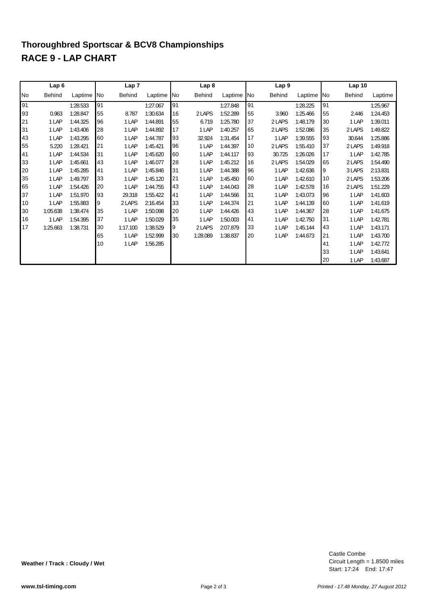# **RACE 9 - LAP CHART Thoroughbred Sportscar & BCV8 Championships**

|           | Lap6     |          |    | Lap <sub>7</sub> |          |           | Lap <sub>8</sub> |          |            | Lap <sub>9</sub> |          |     | Lap <sub>10</sub> |          |
|-----------|----------|----------|----|------------------|----------|-----------|------------------|----------|------------|------------------|----------|-----|-------------------|----------|
| <b>No</b> | Behind   | Laptime  | No | Behind           | Laptime  | <b>No</b> | Behind           | Laptime  | <b>INo</b> | <b>Behind</b>    | Laptime  | No. | <b>Behind</b>     | Laptime  |
| 91        |          | 1:28.533 | 91 |                  | 1:27.067 | 91        |                  | 1:27.848 | 91         |                  | 1:28.225 | 91  |                   | 1:25.967 |
| 93        | 0.963    | 1:28.847 | 55 | 8.787            | 1:30.634 | 16        | 2 LAPS           | 1:52.289 | 55         | 3.960            | 1:25.466 | 55  | 2.446             | 1:24.453 |
| 21        | 1 LAP    | 1:44.325 | 96 | 1 LAP            | 1:44.891 | 55        | 6.719            | 1:25.780 | 37         | 2 LAPS           | 1:48.179 | 30  | 1 LAP             | 1:39.011 |
| 31        | 1 LAP    | 1:43.406 | 28 | 1 LAP            | 1:44.892 | 17        | 1 LAP            | 1:40.257 | 65         | 2 LAPS           | 1:52.086 | 35  | 2 LAPS            | 1:49.822 |
| 43        | 1 LAP    | 1:43.295 | 60 | 1 LAP            | 1:44.787 | 93        | 32.924           | 1:31.454 | 17         | 1 LAP            | 1:39.555 | 93  | 30.644            | 1:25.886 |
| 55        | 5.220    | 1:28.421 | 21 | 1 LAP            | 1:45.421 | 96        | 1 LAP            | 1:44.397 | 10         | 2 LAPS           | 1:55.410 | 37  | 2 LAPS            | 1:49.918 |
| 41        | 1 LAP    | 1:44.534 | 31 | 1 LAP            | 1:45.620 | 60        | 1 LAP            | 1:44.117 | 93         | 30.725           | 1:26.026 | 17  | 1 LAP             | 1:42.785 |
| 33        | 1 LAP    | 1:45.661 | 43 | 1 LAP            | 1:46.077 | 28        | 1 LAP            | 1:45.212 | 16         | 2 LAPS           | 1:54.029 | 65  | 2 LAPS            | 1:54.490 |
| 20        | 1 LAP    | 1:45.285 | 41 | 1 LAP            | 1:45.846 | 31        | 1 LAP            | 1:44.388 | 96         | 1 LAP            | 1:42.636 | 9   | 3 LAPS            | 2:13.831 |
| 35        | 1 LAP    | 1:49.797 | 33 | 1 LAP            | 1:45.120 | 21        | 1 LAP            | 1:45.450 | 60         | 1 LAP            | 1:42.610 | 10  | 2 LAPS            | 1:53.206 |
| 65        | 1 LAP    | 1:54.426 | 20 | 1 LAP            | 1:44.755 | 43        | 1 LAP            | 1:44.043 | 28         | 1 LAP            | 1:42.578 | 16  | 2 LAPS            | 1:51.229 |
| 37        | 1 LAP    | 1:51.970 | 93 | 29.318           | 1:55.422 | 41        | 1 LAP            | 1:44.566 | 31         | 1 LAP            | 1:43.073 | 96  | 1 LAP             | 1:41.603 |
| 10        | 1 LAP    | 1:55.883 | 9  | 2 LAPS           | 2:16.454 | 33        | 1 LAP            | 1:44.374 | 21         | 1 LAP            | 1:44.139 | 60  | 1 LAP             | 1:41.619 |
| 30        | 1:05.638 | 1:38.474 | 35 | 1 LAP            | 1:50.098 | 20        | 1 LAP            | 1:44.426 | 43         | 1 LAP            | 1:44.367 | 28  | 1 LAP             | 1:41.675 |
| 16        | 1 LAP    | 1:54.395 | 37 | 1 LAP            | 1:50.029 | 35        | 1 LAP            | 1:50.003 | 41         | 1 LAP            | 1:42.750 | 31  | 1 LAP             | 1:42.781 |
| 17        | 1:25.663 | 1:38.731 | 30 | 1:17.100         | 1:38.529 | 9         | 2 LAPS           | 2:07.879 | 33         | 1 LAP            | 1:45.144 | 43  | 1 LAP             | 1:43.171 |
|           |          |          | 65 | 1 LAP            | 1:52.999 | 30        | 1:28.089         | 1:38.837 | 20         | 1 LAP            | 1:44.673 | 21  | 1 LAP             | 1:43.700 |
|           |          |          | 10 | 1 LAP            | 1:56.285 |           |                  |          |            |                  |          | 41  | 1 LAP             | 1:42.772 |
|           |          |          |    |                  |          |           |                  |          |            |                  |          | 33  | 1 LAP             | 1:43.641 |
|           |          |          |    |                  |          |           |                  |          |            |                  |          | 20  | 1 LAP             | 1:43.687 |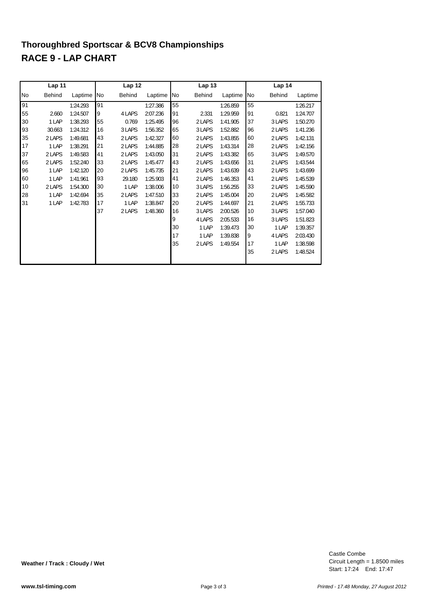# **RACE 9 - LAP CHART Thoroughbred Sportscar & BCV8 Championships**

|    | Lap 11        |          |    | Lap 12        |          |    | Lap <sub>13</sub> |          |    | Lap 14        |          |
|----|---------------|----------|----|---------------|----------|----|-------------------|----------|----|---------------|----------|
| No | <b>Behind</b> | Laptime  | No | <b>Behind</b> | Laptime  | No | Behind            | Laptime  | No | <b>Behind</b> | Laptime  |
| 91 |               | 1:24.293 | 91 |               | 1:27.386 | 55 |                   | 1:26.859 | 55 |               | 1:26.217 |
| 55 | 2.660         | 1:24.507 | 9  | 4 LAPS        | 2:07.236 | 91 | 2.331             | 1:29.959 | 91 | 0.821         | 1:24.707 |
| 30 | 1 LAP         | 1:38.293 | 55 | 0.769         | 1:25.495 | 96 | 2 LAPS            | 1:41.905 | 37 | 3 LAPS        | 1:50.270 |
| 93 | 30.663        | 1:24.312 | 16 | 3 LAPS        | 1:56.352 | 65 | 3 LAPS            | 1:52.882 | 96 | 2 LAPS        | 1:41.236 |
| 35 | 2 LAPS        | 1:49.681 | 43 | 2 LAPS        | 1:42.327 | 60 | 2 LAPS            | 1:43.855 | 60 | 2 LAPS        | 1:42.131 |
| 17 | 1 LAP         | 1:38.291 | 21 | 2 LAPS        | 1:44.885 | 28 | 2 LAPS            | 1:43.314 | 28 | 2 LAPS        | 1:42.156 |
| 37 | 2 LAPS        | 1:49.583 | 41 | 2 LAPS        | 1:43.050 | 31 | 2 LAPS            | 1:43.382 | 65 | 3 LAPS        | 1:49.570 |
| 65 | 2 LAPS        | 1:52.240 | 33 | 2 LAPS        | 1:45.477 | 43 | 2 LAPS            | 1:43.656 | 31 | 2 LAPS        | 1:43.544 |
| 96 | 1 LAP         | 1:42.120 | 20 | 2 LAPS        | 1:45.735 | 21 | 2 LAPS            | 1:43.639 | 43 | 2 LAPS        | 1:43.699 |
| 60 | 1 LAP         | 1:41.961 | 93 | 29.180        | 1:25.903 | 41 | 2 LAPS            | 1:46.353 | 41 | 2 LAPS        | 1:45.539 |
| 10 | 2 LAPS        | 1:54.300 | 30 | 1 LAP         | 1:38.006 | 10 | 3 LAPS            | 1:56.255 | 33 | 2 LAPS        | 1:45.590 |
| 28 | 1 LAP         | 1:42.694 | 35 | 2 LAPS        | 1:47.510 | 33 | 2 LAPS            | 1:45.004 | 20 | 2 LAPS        | 1:45.582 |
| 31 | 1 LAP         | 1:42.783 | 17 | 1 LAP         | 1:38.847 | 20 | 2 LAPS            | 1:44.697 | 21 | 2 LAPS        | 1:55.733 |
|    |               |          | 37 | 2 LAPS        | 1:48.360 | 16 | 3 LAPS            | 2:00.526 | 10 | 3 LAPS        | 1:57.040 |
|    |               |          |    |               |          | 9  | 4 LAPS            | 2:05.533 | 16 | 3 LAPS        | 1:51.823 |
|    |               |          |    |               |          | 30 | 1 LAP             | 1:39.473 | 30 | 1 LAP         | 1:39.357 |
|    |               |          |    |               |          | 17 | 1 LAP             | 1:39.838 | 9  | 4 LAPS        | 2:03.430 |
|    |               |          |    |               |          | 35 | 2 LAPS            | 1:49.554 | 17 | 1 LAP         | 1:38.598 |
|    |               |          |    |               |          |    |                   |          | 35 | 2 LAPS        | 1:48.524 |
|    |               |          |    |               |          |    |                   |          |    |               |          |

Circuit Length = 1.8500 miles Start: 17:24 End: 17:47 Castle Combe

**Weather / Track : Cloudy / Wet**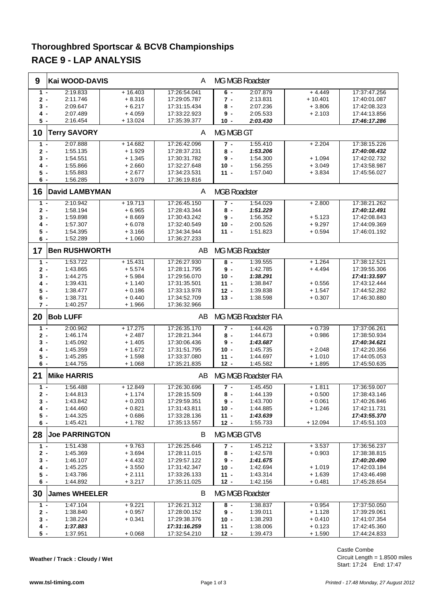### **Thoroughbred Sportscar & BCV8 Championships RACE 9 - LAP ANALYSIS**

| 9          | Kai WOOD-DAVIS        |           | A                            |                     | MG MGB Roadster      |                      |                              |
|------------|-----------------------|-----------|------------------------------|---------------------|----------------------|----------------------|------------------------------|
| $1 -$      | 2:19.833              | $+16.403$ | 17:26:54.041                 | $6 -$               | 2:07.879             | $+4.449$             | 17:37:47.256                 |
| 2 -        | 2:11.746              | $+8.316$  | 17:29:05.787                 | 7 -                 | 2:13.831             | $+10.401$            | 17:40:01.087                 |
| 3 -        | 2:09.647              | $+6.217$  | 17:31:15.434                 | 8 -                 | 2:07.236             | $+3.806$             | 17:42:08.323                 |
| 4 -        | 2:07.489              | $+4.059$  | 17:33:22.923                 | 9-                  | 2:05.533             | $+2.103$             | 17:44:13.856                 |
| 5 -        | 2:16.454              | $+13.024$ | 17:35:39.377                 | 10 -                | 2:03.430             |                      | 17:46:17.286                 |
| 10         | <b>Terry SAVORY</b>   |           | A                            | MG MGB GT           |                      |                      |                              |
|            |                       |           |                              |                     |                      |                      |                              |
| $1 -$      | 2:07.888              | $+14.682$ | 17:26:42.096                 | $7 -$               | 1:55.410             | $+2.204$             | 17:38:15.226                 |
| 2 -        | 1:55.135              | $+1.929$  | 17:28:37.231                 | 8 -                 | 1:53.206             |                      | 17:40:08.432                 |
| 3 -        | 1:54.551              | $+1.345$  | 17:30:31.782                 | $9 -$               | 1:54.300             | $+1.094$             | 17:42:02.732                 |
| 4.         | 1:55.866              | $+2.660$  | 17:32:27.648                 | $10 -$              | 1:56.255             | $+3.049$             | 17:43:58.987                 |
| 5 -        | 1:55.883              | + 2.677   | 17:34:23.531                 | $11 -$              | 1:57.040             | $+3.834$             | 17:45:56.027                 |
| 6 -        | 1:56.285              | $+3.079$  | 17:36:19.816                 |                     |                      |                      |                              |
| 16         | <b>David LAMBYMAN</b> |           | A                            | <b>MGB Roadster</b> |                      |                      |                              |
| $1 -$      | 2:10.942              | $+19.713$ | 17:26:45.150                 | $7 -$               | 1:54.029             | $+2.800$             | 17:38:21.262                 |
| 2 -        | 1:58.194              | $+6.965$  | 17:28:43.344                 | $8 -$               | 1:51.229             |                      | 17:40:12.491                 |
| 3 -        | 1:59.898              | $+8.669$  | 17:30:43.242                 | $9 -$               | 1:56.352             | $+5.123$             | 17:42:08.843                 |
| 4 -        | 1:57.307              |           |                              | $10 -$              |                      |                      |                              |
|            |                       | + 6.078   | 17:32:40.549                 |                     | 2:00.526             | $+9.297$             | 17:44:09.369                 |
| 5 -        | 1:54.395              | $+3.166$  | 17:34:34.944                 | $11 -$              | 1:51.823             | $+0.594$             | 17:46:01.192                 |
| 6 -        | 1:52.289              | $+1.060$  | 17:36:27.233                 |                     |                      |                      |                              |
| 17         | <b>Ben RUSHWORTH</b>  |           | AB                           |                     | MG MGB Roadster      |                      |                              |
| $1 -$      | 1:53.722              | $+15.431$ | 17:26:27.930                 | 8 -                 | 1:39.555             | $+1.264$             | 17:38:12.521                 |
| 2 -        | 1:43.865              | $+5.574$  | 17:28:11.795                 | 9-                  | 1:42.785             | $+4.494$             | 17:39:55.306                 |
| 3 -        | 1:44.275              | $+5.984$  | 17:29:56.070                 | $10 -$              | 1:38.291             |                      | 17:41:33.597                 |
| 4 -        | 1:39.431              | $+1.140$  | 17:31:35.501                 | $11 -$              | 1:38.847             | $+0.556$             | 17:43:12.444                 |
| 5 -        | 1:38.477              | $+0.186$  | 17:33:13.978                 | $12 -$              | 1:39.838             | $+1.547$             | 17:44:52.282                 |
| 6 -        | 1:38.731              | + 0.440   | 17:34:52.709                 | $13 -$              | 1:38.598             | $+0.307$             | 17:46:30.880                 |
| 7 -        | 1:40.257              | $+1.966$  | 17:36:32.966                 |                     |                      |                      |                              |
|            |                       |           |                              |                     |                      |                      |                              |
|            |                       |           |                              |                     |                      |                      |                              |
| 20         | <b>Bob LUFF</b>       |           | AB                           |                     | MG MGB Roadster FIA  |                      |                              |
| $1 -$      | 2:00.962              | $+17.275$ | 17:26:35.170                 | $7 -$               | 1:44.426             | $+0.739$             | 17:37:06.261                 |
| 2 -        | 1:46.174              | $+2.487$  | 17:28:21.344                 | 8 -                 | 1:44.673             | $+0.986$             | 17:38:50.934                 |
| 3 -        | 1:45.092              | $+1.405$  | 17:30:06.436                 | $9 -$               | 1:43.687             |                      | 17:40:34.621                 |
| 4 -        | 1:45.359              | $+1.672$  | 17:31:51.795                 | $10 -$              | 1:45.735             | $+2.048$             | 17:42:20.356                 |
| 5 -        | 1:45.285              | $+1.598$  | 17:33:37.080                 | $11 -$              | 1:44.697             | $+1.010$             | 17:44:05.053                 |
| 6 -        | 1:44.755              | $+1.068$  | 17:35:21.835                 | $12 -$              | 1:45.582             | $+1.895$             | 17:45:50.635                 |
| 21         | <b>Mike HARRIS</b>    |           | AB                           |                     | MG MGB Roadster FIA  |                      |                              |
|            |                       |           |                              |                     |                      |                      |                              |
| $1 -$      | 1:56.488              | $+12.849$ | 17:26:30.696                 | $7 -$               | 1:45.450             | $+1.811$             | 17:36:59.007                 |
| $2 -$      | 1:44.813              | $+1.174$  | 17:28:15.509                 | 8 -                 | 1:44.139             | $+0.500$             | 17:38:43.146                 |
| 3 -        | 1:43.842              | $+0.203$  | 17:29:59.351                 | 9-                  | 1:43.700             | $+0.061$             | 17:40:26.846                 |
| 4 -        | 1:44.460              | $+0.821$  | 17:31:43.811                 | $10 -$              | 1:44.885             | $+1.246$             | 17:42:11.731                 |
| 5 -        | 1:44.325              | + 0.686   | 17:33:28.136                 | $11 -$              | 1:43.639             |                      | 17:43:55.370                 |
| 6 -        | 1:45.421              | $+1.782$  | 17:35:13.557                 | $12 -$              | 1:55.733             | $+12.094$            | 17:45:51.103                 |
|            | 28 Joe PARRINGTON     |           | B                            | MG MGB GTV8         |                      |                      |                              |
|            |                       |           |                              |                     |                      |                      |                              |
| $1 -$      | 1:51.438              | $+9.763$  | 17:26:25.646                 | $7 -$               | 1:45.212             | $+3.537$             | 17:36:56.237                 |
| 2 -        | 1:45.369              | $+3.694$  | 17:28:11.015                 | 8 -                 | 1:42.578             | $+0.903$             | 17:38:38.815                 |
| 3 -        | 1:46.107              | + 4.432   | 17:29:57.122                 | 9 -                 | 1:41.675             |                      | 17:40:20.490                 |
| 4 -        | 1:45.225              | $+3.550$  | 17:31:42.347                 | $10 -$              | 1:42.694             | $+1.019$             | 17:42:03.184                 |
| 5 -        | 1:43.786              | $+2.111$  | 17:33:26.133                 | $11 -$              | 1:43.314             | $+1.639$             | 17:43:46.498                 |
| 6 -        | 1:44.892              | $+3.217$  | 17:35:11.025                 | $12 -$              | 1:42.156             | $+0.481$             | 17:45:28.654                 |
| 30         | <b>James WHEELER</b>  |           | B                            |                     | MG MGB Roadster      |                      |                              |
| $1 -$      | 1:47.104              | $+9.221$  |                              | $8 -$               | 1:38.837             |                      |                              |
|            |                       |           | 17:26:21.312                 |                     |                      | $+0.954$             | 17:37:50.050                 |
| $2 -$      | 1:38.840              | + 0.957   | 17:28:00.152                 | 9 -                 | 1:39.011             | + 1.128              | 17:39:29.061                 |
| 3 -        | 1:38.224              | $+0.341$  | 17:29:38.376                 | $10 -$              | 1:38.293             | $+0.410$             | 17:41:07.354                 |
| 4 -<br>5 - | 1:37.883<br>1:37.951  | $+0.068$  | 17:31:16.259<br>17:32:54.210 | $11 -$<br>$12 -$    | 1:38.006<br>1:39.473 | $+0.123$<br>$+1.590$ | 17:42:45.360<br>17:44:24.833 |

**Weather / Track : Cloudy / Wet**

Circuit Length = 1.8500 miles Start: 17:24 End: 17:47 Castle Combe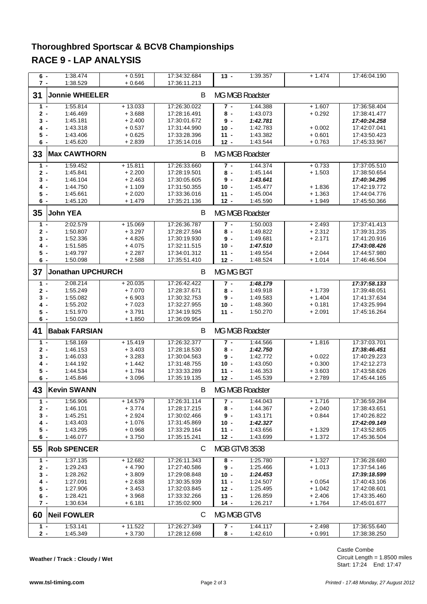# **Thoroughbred Sportscar & BCV8 Championships RACE 9 - LAP ANALYSIS**

| $6 -$<br>$7 -$ | 1:38.474<br>1:38.529     | $+0.591$<br>$+0.646$ | 17:34:32.684<br>17:36:11.213 | $13 -$               | 1:39.357               | $+1.474$             | 17:46:04.190                 |
|----------------|--------------------------|----------------------|------------------------------|----------------------|------------------------|----------------------|------------------------------|
| 31             | <b>Jonnie WHEELER</b>    |                      | В                            |                      | <b>MG MGB Roadster</b> |                      |                              |
| $1 -$          | 1:55.814                 | $+13.033$            | 17:26:30.022                 | $7 -$                | 1:44.388               | $+1.607$             | 17:36:58.404                 |
| $2 -$          | 1:46.469                 | $+3.688$             | 17:28:16.491                 | $8 -$                | 1:43.073               | $+0.292$             | 17:38:41.477                 |
| 3 -            | 1:45.181                 | $+2.400$             | 17:30:01.672                 | 9-                   | 1:42.781               |                      | 17:40:24.258                 |
| 4 -            | 1:43.318                 | $+0.537$             | 17:31:44.990                 | $10 -$               | 1:42.783               | $+0.002$             | 17:42:07.041                 |
| $5 -$          | 1:43.406                 | $+0.625$             | 17:33:28.396                 | $11 -$               | 1:43.382               | $+0.601$             | 17:43:50.423                 |
| 6 -            | 1:45.620                 | + 2.839              | 17:35:14.016                 | $12 -$               | 1:43.544               | $+0.763$             | 17:45:33.967                 |
| 33             | <b>Max CAWTHORN</b>      |                      | В                            |                      | MG MGB Roadster        |                      |                              |
| $1 -$          | 1:59.452                 | $+15.811$            | 17:26:33.660                 | $7 -$                | 1:44.374               | $+0.733$             | 17:37:05.510                 |
| $2 -$          | 1:45.841                 | $+2.200$             | 17:28:19.501                 | $8 -$                | 1:45.144               | $+1.503$             | 17:38:50.654                 |
| 3 -            | 1:46.104                 | $+2.463$             | 17:30:05.605                 | $9 -$                | 1:43.641               |                      | 17:40:34.295                 |
| 4 -            | 1:44.750                 | $+1.109$             | 17:31:50.355                 | $10 -$               | 1:45.477               | $+1.836$             | 17:42:19.772                 |
| 5 -            | 1:45.661                 | $+2.020$             | 17:33:36.016                 | $11 -$               | 1:45.004               | $+1.363$             | 17:44:04.776                 |
| 6 -            | 1:45.120                 | $+1.479$             | 17:35:21.136                 | $12 -$               | 1:45.590               | $+1.949$             | 17:45:50.366                 |
| 35             | <b>John YEA</b>          |                      | B                            |                      | MG MGB Roadster        |                      |                              |
| $1 -$          | 2:02.579                 | $+15.069$            | 17:26:36.787                 | $7 -$                | 1:50.003               | $+2.493$             | 17:37:41.413                 |
| $2 -$          | 1:50.807                 | $+3.297$             | 17:28:27.594                 | 8 -                  | 1:49.822               | $+2.312$             | 17:39:31.235                 |
| $3 -$          | 1:52.336                 | $+4.826$             | 17:30:19.930                 | $9 -$                | 1:49.681               | $+2.171$             | 17:41:20.916                 |
| 4 -            | 1:51.585                 | $+4.075$             | 17:32:11.515                 | $10 -$               | 1:47.510               |                      | 17:43:08.426                 |
| 5 -            | 1:49.797                 | $+2.287$             | 17:34:01.312                 | $11 -$               | 1:49.554               | $+2.044$             | 17:44:57.980                 |
| 6 -            | 1:50.098                 | $+2.588$             | 17:35:51.410                 | $12 -$               | 1:48.524               | $+1.014$             | 17:46:46.504                 |
| 37             | <b>Jonathan UPCHURCH</b> |                      | В                            | MG MG BGT            |                        |                      |                              |
| $1 -$          | 2:08.214                 | $+20.035$            | 17:26:42.422                 | 7 -                  | 1:48.179               |                      | 17:37:58.133                 |
| $2 -$          | 1:55.249                 | $+7.070$             | 17:28:37.671                 | 8 -                  | 1:49.918               | $+1.739$             | 17:39:48.051                 |
| 3 -            | 1:55.082                 | $+6.903$             | 17:30:32.753                 | $9 -$                | 1:49.583               | $+ 1.404$            | 17:41:37.634                 |
| 4 -            | 1:55.202                 | $+7.023$             | 17:32:27.955                 | $10 -$               | 1:48.360               | $+0.181$             | 17:43:25.994                 |
| $5 -$          | 1:51.970                 | $+3.791$             | 17:34:19.925                 | $11 -$               | 1:50.270               | $+2.091$             | 17:45:16.264                 |
| 6 -            | 1:50.029                 | $+1.850$             | 17:36:09.954                 |                      |                        |                      |                              |
| 41             | <b>Babak FARSIAN</b>     |                      | В                            |                      | MG MGB Roadster        |                      |                              |
| $1 -$          | 1:58.169                 | $+15.419$            | 17:26:32.377                 | 7 -                  | 1:44.566               | $+ 1.816$            | 17:37:03.701                 |
| $2 -$          | 1:46.153                 | $+3.403$             | 17:28:18.530                 | $8 -$                | 1:42.750               |                      | 17:38:46.451                 |
| 3 -            | 1:46.033                 | $+3.283$             | 17:30:04.563                 | 9 -                  | 1:42.772               | $+0.022$             | 17:40:29.223                 |
| 4 -            | 1:44.192                 | $+ 1.442$            | 17:31:48.755                 | $10 -$               | 1:43.050               | $+0.300$             | 17:42:12.273                 |
| 5 -            | 1:44.534                 | $+1.784$             | 17:33:33.289                 | $11 -$               | 1:46.353               | $+3.603$             | 17:43:58.626                 |
| 6 -            | 1:45.846                 | + 3.096              | 17:35:19.135                 | $12 -$               | 1:45.539               | $+2.789$             | 17:45:44.165                 |
| 43             | <b>Kevin SWANN</b>       |                      | В                            |                      | <b>MG MGB Roadster</b> |                      |                              |
| $1 -$          | 1:56.906                 | $+14.579$            | 17:26:31.114                 | $7 -$                | 1:44.043               | $+1.716$             | 17:36:59.284                 |
| $2 -$          | 1:46.101                 | $+3.774$             | 17:28:17.215                 | 8 -                  | 1:44.367               | $+2.040$             | 17:38:43.651                 |
| $3 -$          | 1:45.251                 | $+2.924$             | 17:30:02.466                 | 9 -                  | 1:43.171               | $+0.844$             | 17:40:26.822                 |
| 4 -            | 1:43.403                 | $+1.076$             | 17:31:45.869                 | $10 -$               | 1:42.327               |                      | 17:42:09.149                 |
| 5 -            | 1:43.295                 | $+0.968$             | 17:33:29.164                 | $11 -$               | 1:43.656               | $+1.329$             | 17:43:52.805                 |
| $6 -$          | 1:46.077                 | $+3.750$             | 17:35:15.241                 | $12 -$               | 1:43.699               | + 1.372              | 17:45:36.504                 |
| 55             | <b>Rob SPENCER</b>       |                      | C                            | <b>MGB GTV8 3538</b> |                        |                      |                              |
| $1 -$          | 1:37.135                 | $+12.682$            | 17:26:11.343                 | 8 -                  | 1:25.780               | $+1.327$             | 17:36:28.680                 |
| $2 -$          | 1:29.243                 | $+4.790$             | 17:27:40.586                 | $9 -$                | 1:25.466               | $+1.013$             | 17:37:54.146                 |
| 3 -            | 1:28.262                 | $+3.809$             | 17:29:08.848                 | $10 -$               | 1:24.453               |                      | 17:39:18.599                 |
| 4 -            | 1:27.091                 | $+2.638$             | 17:30:35.939                 | $11 -$               | 1:24.507               | $+0.054$             | 17:40:43.106                 |
| 5 -            | 1:27.906                 | $+3.453$             | 17:32:03.845                 | $12 -$               | 1:25.495               | $+1.042$             | 17:42:08.601                 |
| 6 -            | 1:28.421                 | $+3.968$             | 17:33:32.266                 | $13 -$               | 1:26.859               | $+2.406$             | 17:43:35.460                 |
| $7 -$          | 1:30.634                 | $+6.181$             | 17:35:02.900                 | $14 -$               | 1:26.217               | + 1.764              | 17:45:01.677                 |
| 60             | <b>Neil FOWLER</b>       |                      | C                            | MG MGB GTV8          |                        |                      |                              |
|                |                          |                      |                              |                      |                        |                      |                              |
| $1 -$          | 1:53.141<br>1:45.349     | $+11.522$<br>+ 3.730 | 17:26:27.349<br>17:28:12.698 | $7 -$                | 1:44.117<br>1:42.610   | $+2.498$<br>$+0.991$ | 17:36:55.640<br>17:38:38.250 |

**Weather / Track : Cloudy / Wet**

Circuit Length = 1.8500 miles Start: 17:24 End: 17:47 Castle Combe